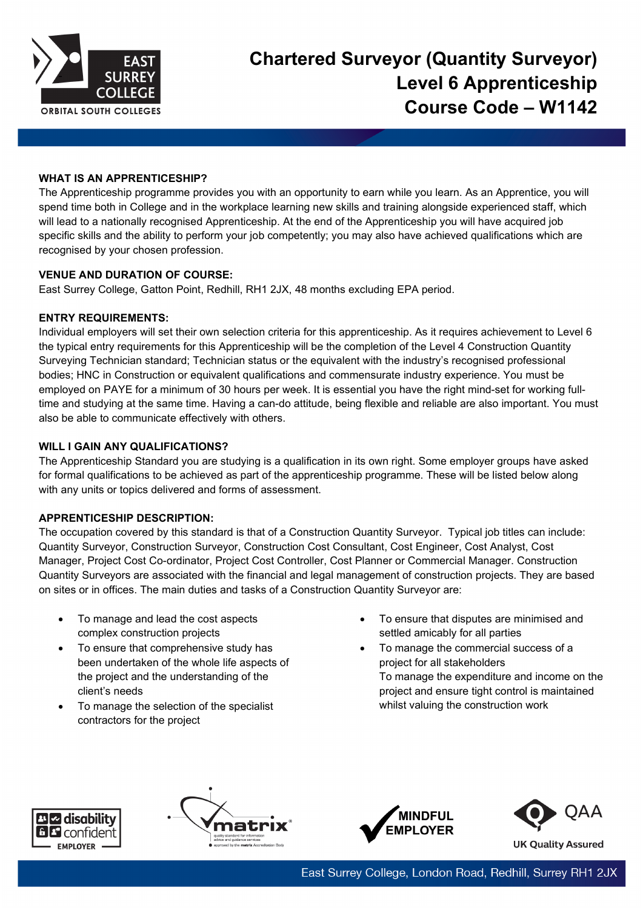

## **WHAT IS AN APPRENTICESHIP?**

The Apprenticeship programme provides you with an opportunity to earn while you learn. As an Apprentice, you will spend time both in College and in the workplace learning new skills and training alongside experienced staff, which will lead to a nationally recognised Apprenticeship. At the end of the Apprenticeship you will have acquired job specific skills and the ability to perform your job competently; you may also have achieved qualifications which are recognised by your chosen profession.

## **VENUE AND DURATION OF COURSE:**

East Surrey College, Gatton Point, Redhill, RH1 2JX, 48 months excluding EPA period.

# **ENTRY REQUIREMENTS:**

Individual employers will set their own selection criteria for this apprenticeship. As it requires achievement to Level 6 the typical entry requirements for this Apprenticeship will be the completion of the Level 4 Construction Quantity Surveying Technician standard; Technician status or the equivalent with the industry's recognised professional bodies; HNC in Construction or equivalent qualifications and commensurate industry experience. You must be employed on PAYE for a minimum of 30 hours per week. It is essential you have the right mind-set for working fulltime and studying at the same time. Having a can-do attitude, being flexible and reliable are also important. You must also be able to communicate effectively with others.

# **WILL I GAIN ANY QUALIFICATIONS?**

The Apprenticeship Standard you are studying is a qualification in its own right. Some employer groups have asked for formal qualifications to be achieved as part of the apprenticeship programme. These will be listed below along with any units or topics delivered and forms of assessment.

## **APPRENTICESHIP DESCRIPTION:**

The occupation covered by this standard is that of a Construction Quantity Surveyor. Typical job titles can include: Quantity Surveyor, Construction Surveyor, Construction Cost Consultant, Cost Engineer, Cost Analyst, Cost Manager, Project Cost Co-ordinator, Project Cost Controller, Cost Planner or Commercial Manager. Construction Quantity Surveyors are associated with the financial and legal management of construction projects. They are based on sites or in offices. The main duties and tasks of a Construction Quantity Surveyor are:

- To manage and lead the cost aspects complex construction projects
- To ensure that comprehensive study has been undertaken of the whole life aspects of the project and the understanding of the client's needs
- To manage the selection of the specialist contractors for the project
- To ensure that disputes are minimised and settled amicably for all parties
- To manage the commercial success of a project for all stakeholders To manage the expenditure and income on the project and ensure tight control is maintained whilst valuing the construction work







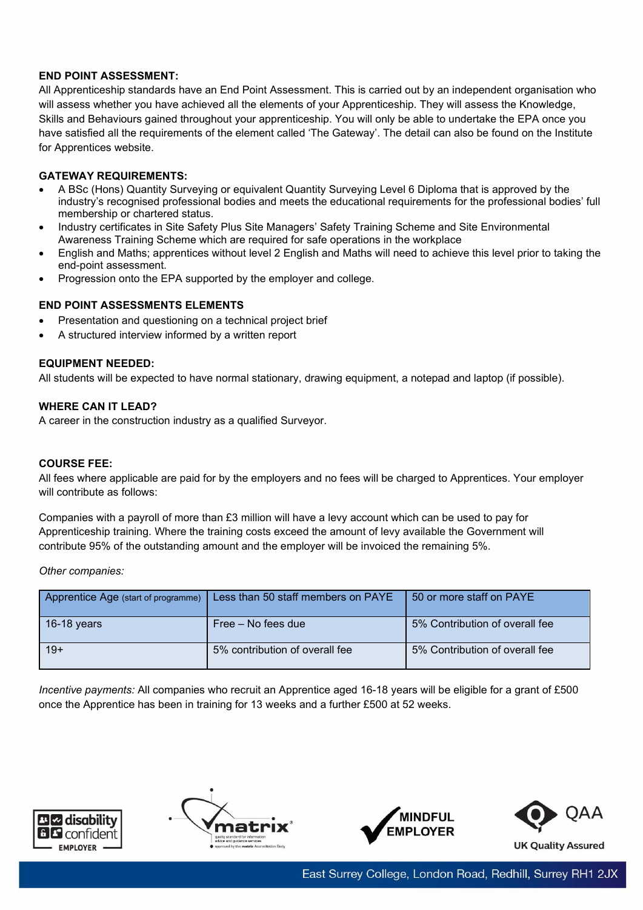## **END POINT ASSESSMENT:**

All Apprenticeship standards have an End Point Assessment. This is carried out by an independent organisation who will assess whether you have achieved all the elements of your Apprenticeship. They will assess the Knowledge, Skills and Behaviours gained throughout your apprenticeship. You will only be able to undertake the EPA once you have satisfied all the requirements of the element called 'The Gateway'. The detail can also be found on the Institute for Apprentices website.

## **GATEWAY REQUIREMENTS:**

- A BSc (Hons) Quantity Surveying or equivalent Quantity Surveying Level 6 Diploma that is approved by the industry's recognised professional bodies and meets the educational requirements for the professional bodies' full membership or chartered status.
- Industry certificates in Site Safety Plus Site Managers' Safety Training Scheme and Site Environmental Awareness Training Scheme which are required for safe operations in the workplace
- English and Maths; apprentices without level 2 English and Maths will need to achieve this level prior to taking the end-point assessment.
- Progression onto the EPA supported by the employer and college.

## **END POINT ASSESSMENTS ELEMENTS**

- Presentation and questioning on a technical project brief
- A structured interview informed by a written report

## **EQUIPMENT NEEDED:**

All students will be expected to have normal stationary, drawing equipment, a notepad and laptop (if possible).

#### **WHERE CAN IT LEAD?**

A career in the construction industry as a qualified Surveyor.

#### **COURSE FEE:**

All fees where applicable are paid for by the employers and no fees will be charged to Apprentices. Your employer will contribute as follows:

Companies with a payroll of more than £3 million will have a levy account which can be used to pay for Apprenticeship training. Where the training costs exceed the amount of levy available the Government will contribute 95% of the outstanding amount and the employer will be invoiced the remaining 5%.

*Other companies:*

| Apprentice Age (start of programme) | Less than 50 staff members on PAYE | 50 or more staff on PAYE       |
|-------------------------------------|------------------------------------|--------------------------------|
| 16-18 years                         | Free – No fees due                 | 5% Contribution of overall fee |
| $19+$                               | 5% contribution of overall fee     | 5% Contribution of overall fee |

*Incentive payments:* All companies who recruit an Apprentice aged 16-18 years will be eligible for a grant of £500 once the Apprentice has been in training for 13 weeks and a further £500 at 52 weeks.